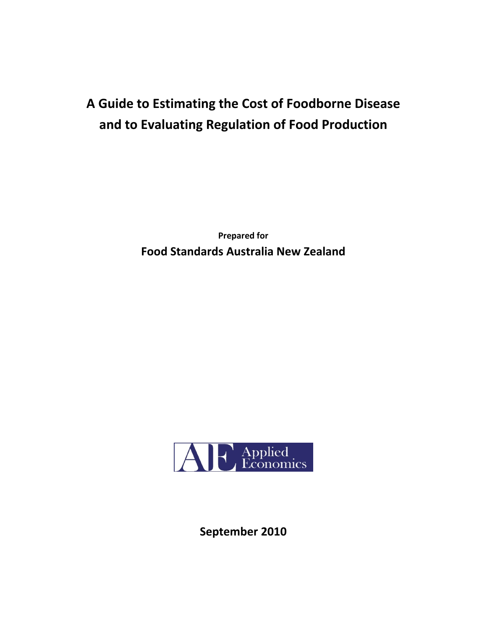# **A Guide to Estimating the Cost of Foodborne Disease and to Evaluating Regulation of Food Production**

**Prepared for Food Standards Australia New Zealand** 



**September 2010**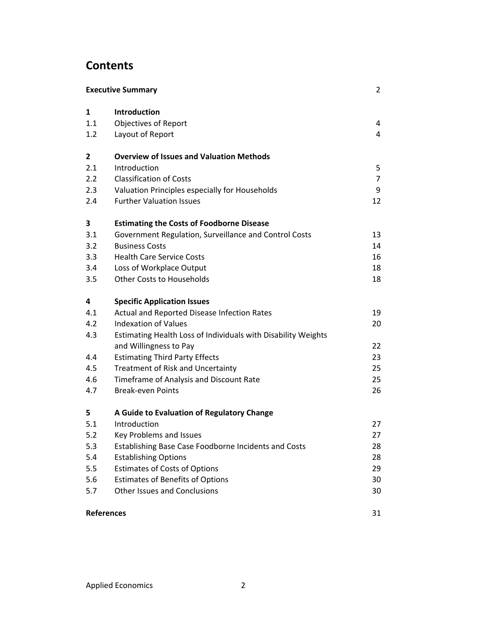## **Contents**

| <b>Executive Summary</b> |                                                               |                |
|--------------------------|---------------------------------------------------------------|----------------|
| $\mathbf{1}$             | Introduction                                                  |                |
| 1.1                      | <b>Objectives of Report</b>                                   | 4              |
| 1.2                      | Layout of Report                                              | $\overline{4}$ |
| $\mathbf{2}$             | <b>Overview of Issues and Valuation Methods</b>               |                |
| 2.1                      | Introduction                                                  | 5              |
| 2.2                      | <b>Classification of Costs</b>                                | $\overline{7}$ |
| 2.3                      | Valuation Principles especially for Households                | 9              |
| 2.4                      | <b>Further Valuation Issues</b>                               | 12             |
| 3                        | <b>Estimating the Costs of Foodborne Disease</b>              |                |
| 3.1                      | Government Regulation, Surveillance and Control Costs         | 13             |
| 3.2                      | <b>Business Costs</b>                                         | 14             |
| 3.3                      | <b>Health Care Service Costs</b>                              | 16             |
| 3.4                      | Loss of Workplace Output                                      | 18             |
| 3.5                      | <b>Other Costs to Households</b>                              | 18             |
| 4                        | <b>Specific Application Issues</b>                            |                |
| 4.1                      | Actual and Reported Disease Infection Rates                   | 19             |
| 4.2                      | <b>Indexation of Values</b>                                   | 20             |
| 4.3                      | Estimating Health Loss of Individuals with Disability Weights |                |
|                          | and Willingness to Pay                                        | 22             |
| 4.4                      | <b>Estimating Third Party Effects</b>                         | 23             |
| 4.5                      | Treatment of Risk and Uncertainty                             | 25             |
| 4.6                      | Timeframe of Analysis and Discount Rate                       | 25             |
| 4.7                      | <b>Break-even Points</b>                                      | 26             |
| 5                        | A Guide to Evaluation of Regulatory Change                    |                |
| 5.1                      | Introduction                                                  | 27             |
| 5.2                      | Key Problems and Issues                                       | 27             |
| 5.3                      | Establishing Base Case Foodborne Incidents and Costs          | 28             |
| 5.4                      | <b>Establishing Options</b>                                   | 28             |
| 5.5                      | <b>Estimates of Costs of Options</b>                          | 29             |
| 5.6                      | <b>Estimates of Benefits of Options</b>                       | 30             |
| 5.7                      | Other Issues and Conclusions                                  | 30             |
|                          |                                                               |                |

## **References** 31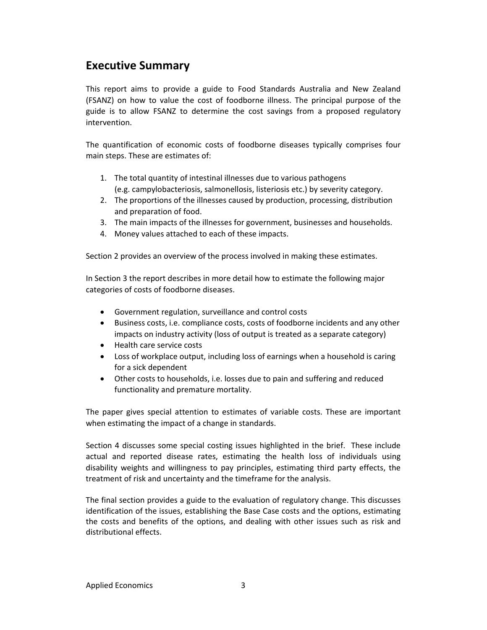## **Executive Summary**

This report aims to provide a guide to Food Standards Australia and New Zealand (FSANZ) on how to value the cost of foodborne illness. The principal purpose of the guide is to allow FSANZ to determine the cost savings from a proposed regulatory intervention.

The quantification of economic costs of foodborne diseases typically comprises four main steps. These are estimates of:

- 1. The total quantity of intestinal illnesses due to various pathogens (e.g. campylobacteriosis, salmonellosis, listeriosis etc.) by severity category.
- 2. The proportions of the illnesses caused by production, processing, distribution and preparation of food.
- 3. The main impacts of the illnesses for government, businesses and households.
- 4. Money values attached to each of these impacts.

Section 2 provides an overview of the process involved in making these estimates.

In Section 3 the report describes in more detail how to estimate the following major categories of costs of foodborne diseases.

- Government regulation, surveillance and control costs
- Business costs, i.e. compliance costs, costs of foodborne incidents and any other impacts on industry activity (loss of output is treated as a separate category)
- Health care service costs
- Loss of workplace output, including loss of earnings when a household is caring for a sick dependent
- Other costs to households, i.e. losses due to pain and suffering and reduced functionality and premature mortality.

The paper gives special attention to estimates of variable costs. These are important when estimating the impact of a change in standards.

Section 4 discusses some special costing issues highlighted in the brief. These include actual and reported disease rates, estimating the health loss of individuals using disability weights and willingness to pay principles, estimating third party effects, the treatment of risk and uncertainty and the timeframe for the analysis.

The final section provides a guide to the evaluation of regulatory change. This discusses identification of the issues, establishing the Base Case costs and the options, estimating the costs and benefits of the options, and dealing with other issues such as risk and distributional effects.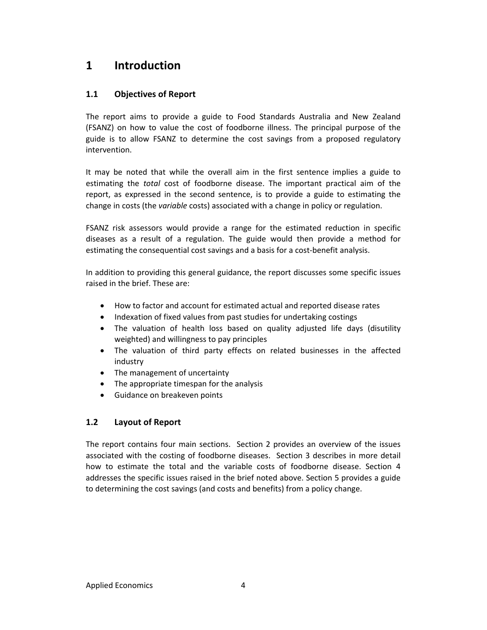## **1 Introduction**

## **1.1 Objectives of Report**

The report aims to provide a guide to Food Standards Australia and New Zealand (FSANZ) on how to value the cost of foodborne illness. The principal purpose of the guide is to allow FSANZ to determine the cost savings from a proposed regulatory intervention.

It may be noted that while the overall aim in the first sentence implies a guide to estimating the *total* cost of foodborne disease. The important practical aim of the report, as expressed in the second sentence, is to provide a guide to estimating the change in costs (the *variable* costs) associated with a change in policy or regulation.

FSANZ risk assessors would provide a range for the estimated reduction in specific diseases as a result of a regulation. The guide would then provide a method for estimating the consequential cost savings and a basis for a cost-benefit analysis.

In addition to providing this general guidance, the report discusses some specific issues raised in the brief. These are:

- How to factor and account for estimated actual and reported disease rates
- Indexation of fixed values from past studies for undertaking costings
- The valuation of health loss based on quality adjusted life days (disutility weighted) and willingness to pay principles
- The valuation of third party effects on related businesses in the affected industry
- The management of uncertainty
- The appropriate timespan for the analysis
- **•** Guidance on breakeven points

## **1.2 Layout of Report**

The report contains four main sections. Section 2 provides an overview of the issues associated with the costing of foodborne diseases. Section 3 describes in more detail how to estimate the total and the variable costs of foodborne disease. Section 4 addresses the specific issues raised in the brief noted above. Section 5 provides a guide to determining the cost savings (and costs and benefits) from a policy change.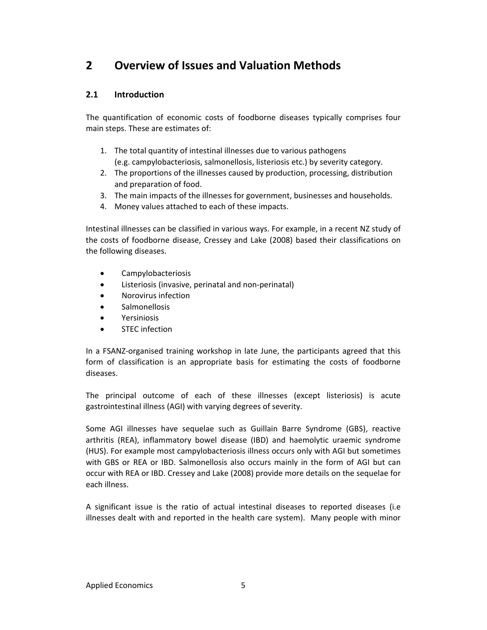## **2 Overview of Issues and Valuation Methods**

## **2.1 Introduction**

The quantification of economic costs of foodborne diseases typically comprises four main steps. These are estimates of:

- 1. The total quantity of intestinal illnesses due to various pathogens (e.g. campylobacteriosis, salmonellosis, listeriosis etc.) by severity category.
- 2. The proportions of the illnesses caused by production, processing, distribution and preparation of food.
- 3. The main impacts of the illnesses for government, businesses and households.
- 4. Money values attached to each of these impacts.

Intestinal illnesses can be classified in various ways. For example, in a recent NZ study of the costs of foodborne disease, Cressey and Lake (2008) based their classifications on the following diseases.

- Campylobacteriosis
- Listeriosis (invasive, perinatal and non‐perinatal)
- Norovirus infection
- **•** Salmonellosis
- Yersiniosis
- STEC infection

In a FSANZ‐organised training workshop in late June, the participants agreed that this form of classification is an appropriate basis for estimating the costs of foodborne diseases.

The principal outcome of each of these illnesses (except listeriosis) is acute gastrointestinal illness (AGI) with varying degrees of severity.

Some AGI illnesses have sequelae such as Guillain Barre Syndrome (GBS), reactive arthritis (REA), inflammatory bowel disease (IBD) and haemolytic uraemic syndrome (HUS). For example most campylobacteriosis illness occurs only with AGI but sometimes with GBS or REA or IBD. Salmonellosis also occurs mainly in the form of AGI but can occur with REA or IBD. Cressey and Lake (2008) provide more details on the sequelae for each illness.

A significant issue is the ratio of actual intestinal diseases to reported diseases (i.e illnesses dealt with and reported in the health care system). Many people with minor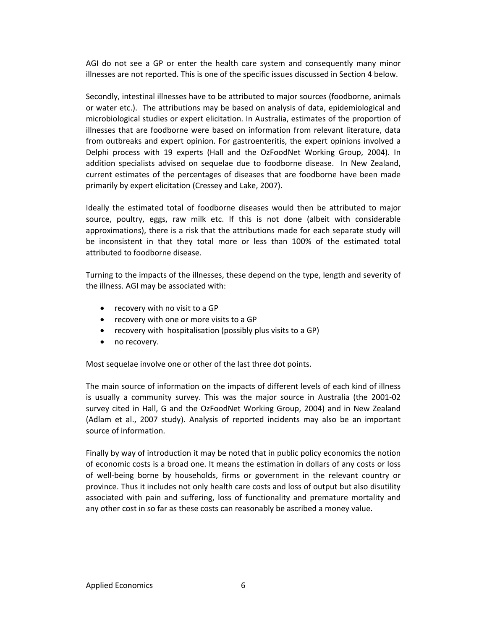AGI do not see a GP or enter the health care system and consequently many minor illnesses are not reported. This is one of the specific issues discussed in Section 4 below.

Secondly, intestinal illnesses have to be attributed to major sources (foodborne, animals or water etc.). The attributions may be based on analysis of data, epidemiological and microbiological studies or expert elicitation. In Australia, estimates of the proportion of illnesses that are foodborne were based on information from relevant literature, data from outbreaks and expert opinion. For gastroenteritis, the expert opinions involved a Delphi process with 19 experts (Hall and the OzFoodNet Working Group, 2004). In addition specialists advised on sequelae due to foodborne disease. In New Zealand, current estimates of the percentages of diseases that are foodborne have been made primarily by expert elicitation (Cressey and Lake, 2007).

Ideally the estimated total of foodborne diseases would then be attributed to major source, poultry, eggs, raw milk etc. If this is not done (albeit with considerable approximations), there is a risk that the attributions made for each separate study will be inconsistent in that they total more or less than 100% of the estimated total attributed to foodborne disease.

Turning to the impacts of the illnesses, these depend on the type, length and severity of the illness. AGI may be associated with:

- recovery with no visit to a GP
- recovery with one or more visits to a GP
- recovery with hospitalisation (possibly plus visits to a GP)
- no recovery.

Most sequelae involve one or other of the last three dot points.

The main source of information on the impacts of different levels of each kind of illness is usually a community survey. This was the major source in Australia (the 2001‐02 survey cited in Hall, G and the OzFoodNet Working Group, 2004) and in New Zealand (Adlam et al., 2007 study). Analysis of reported incidents may also be an important source of information.

Finally by way of introduction it may be noted that in public policy economics the notion of economic costs is a broad one. It means the estimation in dollars of any costs or loss of well‐being borne by households, firms or government in the relevant country or province. Thus it includes not only health care costs and loss of output but also disutility associated with pain and suffering, loss of functionality and premature mortality and any other cost in so far as these costs can reasonably be ascribed a money value.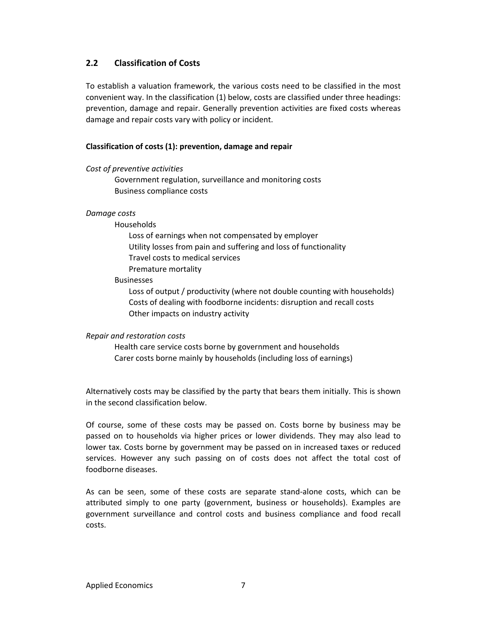## **2.2 Classification of Costs**

To establish a valuation framework, the various costs need to be classified in the most convenient way. In the classification (1) below, costs are classified under three headings: prevention, damage and repair. Generally prevention activities are fixed costs whereas damage and repair costs vary with policy or incident.

#### **Classification of costs (1): prevention, damage and repair**

#### *Cost of preventive activities*

Government regulation, surveillance and monitoring costs Business compliance costs

#### *Damage costs*

Households

Loss of earnings when not compensated by employer Utility losses from pain and suffering and loss of functionality Travel costs to medical services Premature mortality

#### Businesses

Loss of output / productivity (where not double counting with households) Costs of dealing with foodborne incidents: disruption and recall costs Other impacts on industry activity

#### *Repair and restoration costs*

Health care service costs borne by government and households Carer costs borne mainly by households (including loss of earnings)

Alternatively costs may be classified by the party that bears them initially. This is shown in the second classification below.

Of course, some of these costs may be passed on. Costs borne by business may be passed on to households via higher prices or lower dividends. They may also lead to lower tax. Costs borne by government may be passed on in increased taxes or reduced services. However any such passing on of costs does not affect the total cost of foodborne diseases.

As can be seen, some of these costs are separate stand‐alone costs, which can be attributed simply to one party (government, business or households). Examples are government surveillance and control costs and business compliance and food recall costs.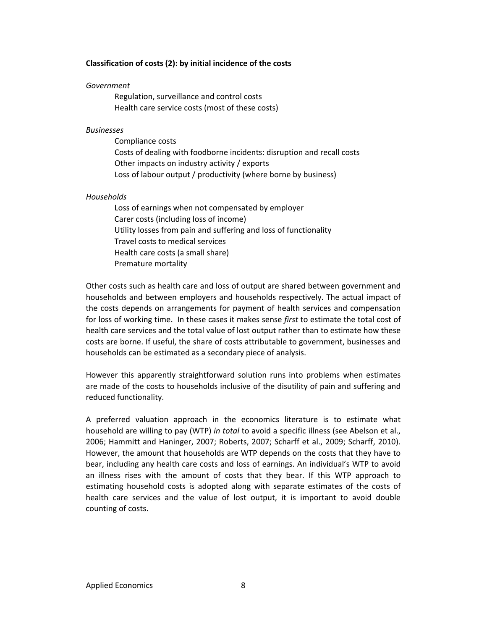#### **Classification of costs (2): by initial incidence of the costs**

#### *Government*

Regulation, surveillance and control costs Health care service costs (most of these costs)

#### *Businesses*

Compliance costs Costs of dealing with foodborne incidents: disruption and recall costs Other impacts on industry activity / exports Loss of labour output / productivity (where borne by business)

#### *Households*

Loss of earnings when not compensated by employer Carer costs (including loss of income) Utility losses from pain and suffering and loss of functionality Travel costs to medical services Health care costs (a small share) Premature mortality

Other costs such as health care and loss of output are shared between government and households and between employers and households respectively. The actual impact of the costs depends on arrangements for payment of health services and compensation for loss of working time. In these cases it makes sense *first* to estimate the total cost of health care services and the total value of lost output rather than to estimate how these costs are borne. If useful, the share of costs attributable to government, businesses and households can be estimated as a secondary piece of analysis.

However this apparently straightforward solution runs into problems when estimates are made of the costs to households inclusive of the disutility of pain and suffering and reduced functionality.

A preferred valuation approach in the economics literature is to estimate what household are willing to pay (WTP) *in total* to avoid a specific illness (see Abelson et al., 2006; Hammitt and Haninger, 2007; Roberts, 2007; Scharff et al., 2009; Scharff, 2010). However, the amount that households are WTP depends on the costs that they have to bear, including any health care costs and loss of earnings. An individual's WTP to avoid an illness rises with the amount of costs that they bear. If this WTP approach to estimating household costs is adopted along with separate estimates of the costs of health care services and the value of lost output, it is important to avoid double counting of costs.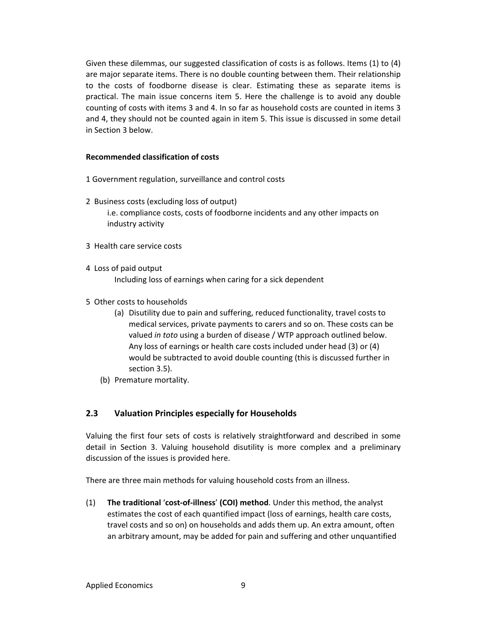Given these dilemmas, our suggested classification of costs is as follows. Items (1) to (4) are major separate items. There is no double counting between them. Their relationship to the costs of foodborne disease is clear. Estimating these as separate items is practical. The main issue concerns item 5. Here the challenge is to avoid any double counting of costs with items 3 and 4. In so far as household costs are counted in items 3 and 4, they should not be counted again in item 5. This issue is discussed in some detail in Section 3 below.

#### **Recommended classification of costs**

- 1 Government regulation, surveillance and control costs
- 2 Business costs (excluding loss of output) i.e. compliance costs, costs of foodborne incidents and any other impacts on industry activity
- 3 Health care service costs
- 4 Loss of paid output

Including loss of earnings when caring for a sick dependent

- 5 Other costs to households
	- (a) Disutility due to pain and suffering, reduced functionality, travel costs to medical services, private payments to carers and so on. These costs can be valued *in toto* using a burden of disease / WTP approach outlined below. Any loss of earnings or health care costs included under head (3) or (4) would be subtracted to avoid double counting (this is discussed further in section 3.5).
	- (b) Premature mortality.

## **2.3 Valuation Principles especially for Households**

Valuing the first four sets of costs is relatively straightforward and described in some detail in Section 3. Valuing household disutility is more complex and a preliminary discussion of the issues is provided here.

There are three main methods for valuing household costs from an illness.

(1) **The traditional** '**cost‐of‐illness**' **(COI) method**. Under this method, the analyst estimates the cost of each quantified impact (loss of earnings, health care costs, travel costs and so on) on households and adds them up. An extra amount, often an arbitrary amount, may be added for pain and suffering and other unquantified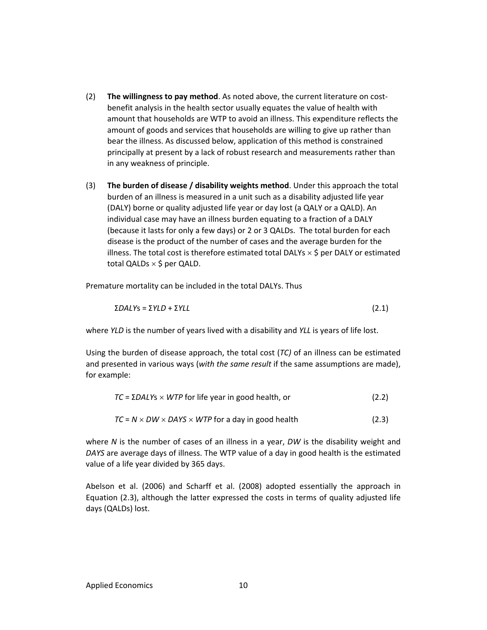- (2) **The willingness to pay method**. As noted above, the current literature on cost‐ benefit analysis in the health sector usually equates the value of health with amount that households are WTP to avoid an illness. This expenditure reflects the amount of goods and services that households are willing to give up rather than bear the illness. As discussed below, application of this method is constrained principally at present by a lack of robust research and measurements rather than in any weakness of principle.
- (3) **The burden of disease / disability weights method**. Under this approach the total burden of an illness is measured in a unit such as a disability adjusted life year (DALY) borne or quality adjusted life year or day lost (a QALY or a QALD). An individual case may have an illness burden equating to a fraction of a DALY (because it lasts for only a few days) or 2 or 3 QALDs. The total burden for each disease is the product of the number of cases and the average burden for the illness. The total cost is therefore estimated total DALYs  $\times$  \$ per DALY or estimated total QALDs  $\times$  \$ per QALD.

Premature mortality can be included in the total DALYs. Thus

$$
\Sigma DALYS = \Sigma YLD + \Sigma YLL \tag{2.1}
$$

where *YLD* is the number of years lived with a disability and *YLL* is years of life lost.

Using the burden of disease approach, the total cost (*TC)* of an illness can be estimated and presented in various ways (*with the same result* if the same assumptions are made), for example:

| $TC = \Sigma DALYS \times WTP$ for life year in good health, or    | (2.2) |
|--------------------------------------------------------------------|-------|
| $TC = N \times DW \times DAYS \times WTP$ for a day in good health | (2.3) |

where *N* is the number of cases of an illness in a year, *DW* is the disability weight and *DAYS* are average days of illness. The WTP value of a day in good health is the estimated value of a life year divided by 365 days.

Abelson et al. (2006) and Scharff et al. (2008) adopted essentially the approach in Equation (2.3), although the latter expressed the costs in terms of quality adjusted life days (QALDs) lost.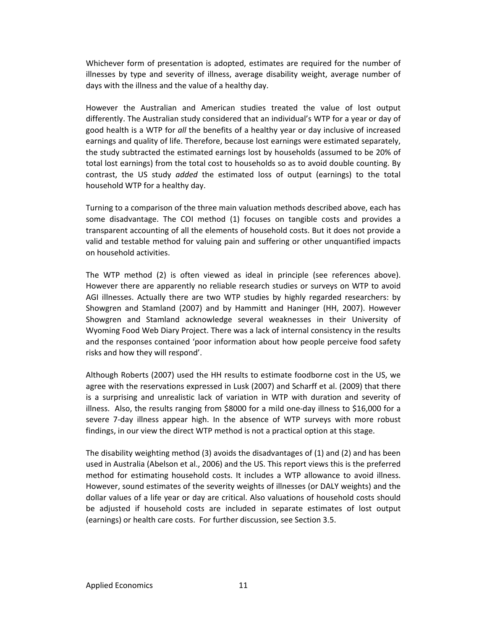Whichever form of presentation is adopted, estimates are required for the number of illnesses by type and severity of illness, average disability weight, average number of days with the illness and the value of a healthy day.

However the Australian and American studies treated the value of lost output differently. The Australian study considered that an individual's WTP for a year or day of good health is a WTP for *all* the benefits of a healthy year or day inclusive of increased earnings and quality of life. Therefore, because lost earnings were estimated separately, the study subtracted the estimated earnings lost by households (assumed to be 20% of total lost earnings) from the total cost to households so as to avoid double counting. By contrast, the US study *added* the estimated loss of output (earnings) to the total household WTP for a healthy day.

Turning to a comparison of the three main valuation methods described above, each has some disadvantage. The COI method (1) focuses on tangible costs and provides a transparent accounting of all the elements of household costs. But it does not provide a valid and testable method for valuing pain and suffering or other unquantified impacts on household activities.

The WTP method (2) is often viewed as ideal in principle (see references above). However there are apparently no reliable research studies or surveys on WTP to avoid AGI illnesses. Actually there are two WTP studies by highly regarded researchers: by Showgren and Stamland (2007) and by Hammitt and Haninger (HH, 2007). However Showgren and Stamland acknowledge several weaknesses in their University of Wyoming Food Web Diary Project. There was a lack of internal consistency in the results and the responses contained 'poor information about how people perceive food safety risks and how they will respond'.

Although Roberts (2007) used the HH results to estimate foodborne cost in the US, we agree with the reservations expressed in Lusk (2007) and Scharff et al. (2009) that there is a surprising and unrealistic lack of variation in WTP with duration and severity of illness. Also, the results ranging from \$8000 for a mild one‐day illness to \$16,000 for a severe 7-day illness appear high. In the absence of WTP surveys with more robust findings, in our view the direct WTP method is not a practical option at this stage.

The disability weighting method (3) avoids the disadvantages of (1) and (2) and has been used in Australia (Abelson et al., 2006) and the US. This report views this is the preferred method for estimating household costs. It includes a WTP allowance to avoid illness. However, sound estimates of the severity weights of illnesses (or DALY weights) and the dollar values of a life year or day are critical. Also valuations of household costs should be adjusted if household costs are included in separate estimates of lost output (earnings) or health care costs. For further discussion, see Section 3.5.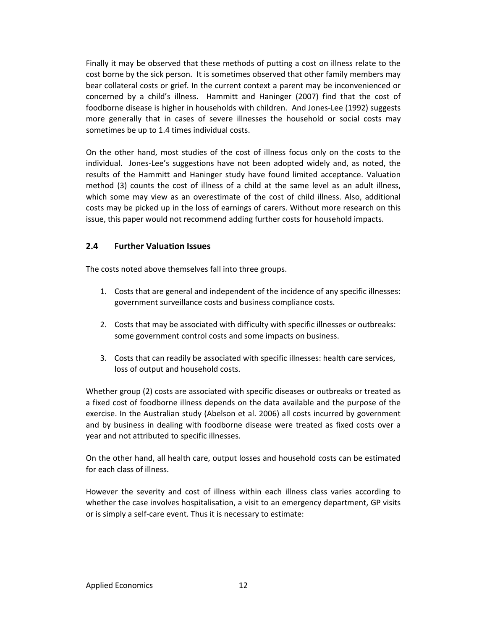Finally it may be observed that these methods of putting a cost on illness relate to the cost borne by the sick person. It is sometimes observed that other family members may bear collateral costs or grief. In the current context a parent may be inconvenienced or concerned by a child's illness. Hammitt and Haninger (2007) find that the cost of foodborne disease is higher in households with children. And Jones-Lee (1992) suggests more generally that in cases of severe illnesses the household or social costs may sometimes be up to 1.4 times individual costs.

On the other hand, most studies of the cost of illness focus only on the costs to the individual. Jones‐Lee's suggestions have not been adopted widely and, as noted, the results of the Hammitt and Haninger study have found limited acceptance. Valuation method (3) counts the cost of illness of a child at the same level as an adult illness, which some may view as an overestimate of the cost of child illness. Also, additional costs may be picked up in the loss of earnings of carers. Without more research on this issue, this paper would not recommend adding further costs for household impacts.

## **2.4 Further Valuation Issues**

The costs noted above themselves fall into three groups.

- 1. Costs that are general and independent of the incidence of any specific illnesses: government surveillance costs and business compliance costs.
- 2. Costs that may be associated with difficulty with specific illnesses or outbreaks: some government control costs and some impacts on business.
- 3. Costs that can readily be associated with specific illnesses: health care services, loss of output and household costs.

Whether group (2) costs are associated with specific diseases or outbreaks or treated as a fixed cost of foodborne illness depends on the data available and the purpose of the exercise. In the Australian study (Abelson et al. 2006) all costs incurred by government and by business in dealing with foodborne disease were treated as fixed costs over a year and not attributed to specific illnesses.

On the other hand, all health care, output losses and household costs can be estimated for each class of illness.

However the severity and cost of illness within each illness class varies according to whether the case involves hospitalisation, a visit to an emergency department, GP visits or is simply a self‐care event. Thus it is necessary to estimate: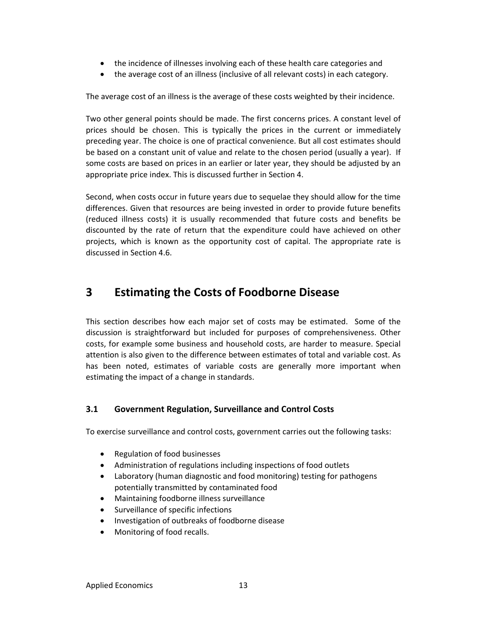- the incidence of illnesses involving each of these health care categories and
- the average cost of an illness (inclusive of all relevant costs) in each category.

The average cost of an illness is the average of these costs weighted by their incidence.

Two other general points should be made. The first concerns prices. A constant level of prices should be chosen. This is typically the prices in the current or immediately preceding year. The choice is one of practical convenience. But all cost estimates should be based on a constant unit of value and relate to the chosen period (usually a year). If some costs are based on prices in an earlier or later year, they should be adjusted by an appropriate price index. This is discussed further in Section 4.

Second, when costs occur in future years due to sequelae they should allow for the time differences. Given that resources are being invested in order to provide future benefits (reduced illness costs) it is usually recommended that future costs and benefits be discounted by the rate of return that the expenditure could have achieved on other projects, which is known as the opportunity cost of capital. The appropriate rate is discussed in Section 4.6.

## **3 Estimating the Costs of Foodborne Disease**

This section describes how each major set of costs may be estimated. Some of the discussion is straightforward but included for purposes of comprehensiveness. Other costs, for example some business and household costs, are harder to measure. Special attention is also given to the difference between estimates of total and variable cost. As has been noted, estimates of variable costs are generally more important when estimating the impact of a change in standards.

## **3.1 Government Regulation, Surveillance and Control Costs**

To exercise surveillance and control costs, government carries out the following tasks:

- Regulation of food businesses
- Administration of regulations including inspections of food outlets
- Laboratory (human diagnostic and food monitoring) testing for pathogens potentially transmitted by contaminated food
- Maintaining foodborne illness surveillance
- Surveillance of specific infections
- Investigation of outbreaks of foodborne disease
- Monitoring of food recalls.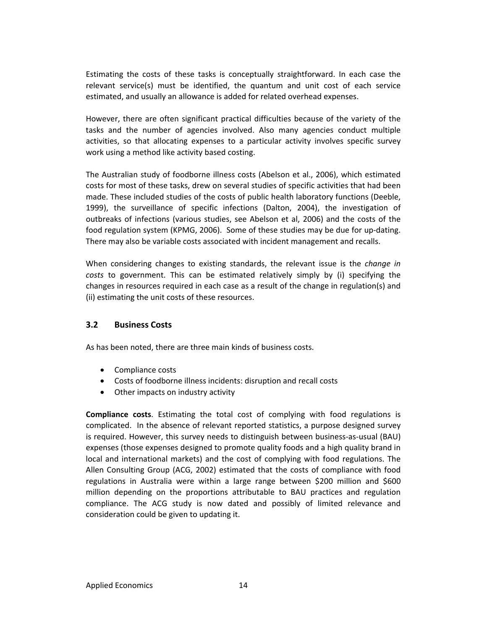Estimating the costs of these tasks is conceptually straightforward. In each case the relevant service(s) must be identified, the quantum and unit cost of each service estimated, and usually an allowance is added for related overhead expenses.

However, there are often significant practical difficulties because of the variety of the tasks and the number of agencies involved. Also many agencies conduct multiple activities, so that allocating expenses to a particular activity involves specific survey work using a method like activity based costing.

The Australian study of foodborne illness costs (Abelson et al., 2006), which estimated costs for most of these tasks, drew on several studies of specific activities that had been made. These included studies of the costs of public health laboratory functions (Deeble, 1999), the surveillance of specific infections (Dalton, 2004), the investigation of outbreaks of infections (various studies, see Abelson et al, 2006) and the costs of the food regulation system (KPMG, 2006). Some of these studies may be due for up-dating. There may also be variable costs associated with incident management and recalls.

When considering changes to existing standards, the relevant issue is the *change in costs* to government. This can be estimated relatively simply by (i) specifying the changes in resources required in each case as a result of the change in regulation(s) and (ii) estimating the unit costs of these resources.

#### **3.2 Business Costs**

As has been noted, there are three main kinds of business costs.

- Compliance costs
- Costs of foodborne illness incidents: disruption and recall costs
- Other impacts on industry activity

**Compliance costs**. Estimating the total cost of complying with food regulations is complicated. In the absence of relevant reported statistics, a purpose designed survey is required. However, this survey needs to distinguish between business-as-usual (BAU) expenses (those expenses designed to promote quality foods and a high quality brand in local and international markets) and the cost of complying with food regulations. The Allen Consulting Group (ACG, 2002) estimated that the costs of compliance with food regulations in Australia were within a large range between \$200 million and \$600 million depending on the proportions attributable to BAU practices and regulation compliance. The ACG study is now dated and possibly of limited relevance and consideration could be given to updating it.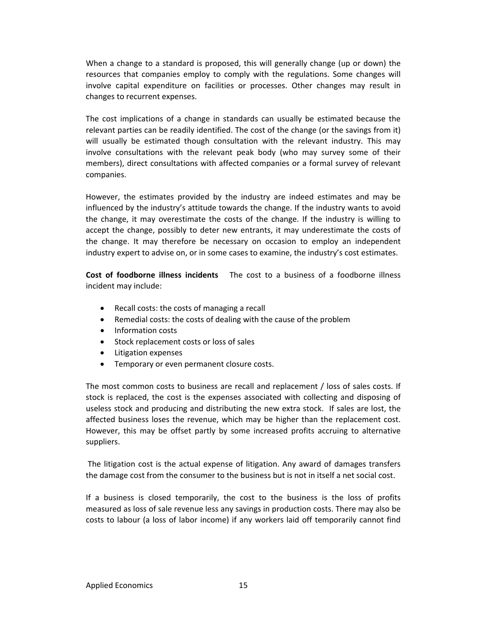When a change to a standard is proposed, this will generally change (up or down) the resources that companies employ to comply with the regulations. Some changes will involve capital expenditure on facilities or processes. Other changes may result in changes to recurrent expenses.

The cost implications of a change in standards can usually be estimated because the relevant parties can be readily identified. The cost of the change (or the savings from it) will usually be estimated though consultation with the relevant industry. This may involve consultations with the relevant peak body (who may survey some of their members), direct consultations with affected companies or a formal survey of relevant companies.

However, the estimates provided by the industry are indeed estimates and may be influenced by the industry's attitude towards the change. If the industry wants to avoid the change, it may overestimate the costs of the change. If the industry is willing to accept the change, possibly to deter new entrants, it may underestimate the costs of the change. It may therefore be necessary on occasion to employ an independent industry expert to advise on, or in some cases to examine, the industry's cost estimates.

**Cost of foodborne illness incidents**  The cost to a business of a foodborne illness incident may include:

- Recall costs: the costs of managing a recall
- Remedial costs: the costs of dealing with the cause of the problem
- Information costs
- Stock replacement costs or loss of sales
- Litigation expenses
- **•** Temporary or even permanent closure costs.

The most common costs to business are recall and replacement / loss of sales costs. If stock is replaced, the cost is the expenses associated with collecting and disposing of useless stock and producing and distributing the new extra stock. If sales are lost, the affected business loses the revenue, which may be higher than the replacement cost. However, this may be offset partly by some increased profits accruing to alternative suppliers.

The litigation cost is the actual expense of litigation. Any award of damages transfers the damage cost from the consumer to the business but is not in itself a net social cost.

If a business is closed temporarily, the cost to the business is the loss of profits measured as loss of sale revenue less any savings in production costs. There may also be costs to labour (a loss of labor income) if any workers laid off temporarily cannot find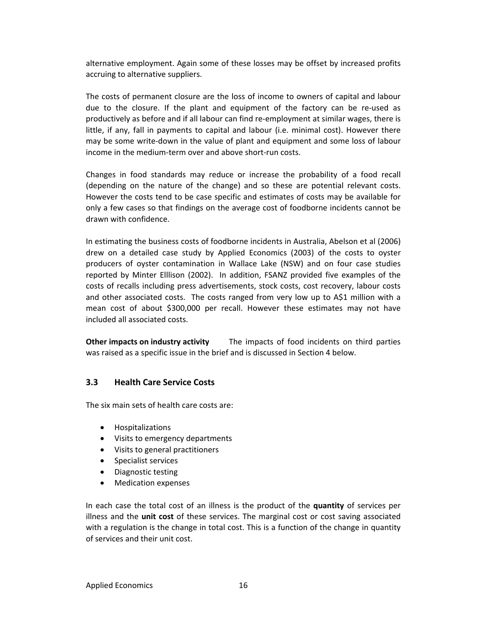alternative employment. Again some of these losses may be offset by increased profits accruing to alternative suppliers.

The costs of permanent closure are the loss of income to owners of capital and labour due to the closure. If the plant and equipment of the factory can be re‐used as productively as before and if all labour can find re‐employment at similar wages, there is little, if any, fall in payments to capital and labour (i.e. minimal cost). However there may be some write‐down in the value of plant and equipment and some loss of labour income in the medium‐term over and above short‐run costs.

Changes in food standards may reduce or increase the probability of a food recall (depending on the nature of the change) and so these are potential relevant costs. However the costs tend to be case specific and estimates of costs may be available for only a few cases so that findings on the average cost of foodborne incidents cannot be drawn with confidence.

In estimating the business costs of foodborne incidents in Australia, Abelson et al (2006) drew on a detailed case study by Applied Economics (2003) of the costs to oyster producers of oyster contamination in Wallace Lake (NSW) and on four case studies reported by Minter Elllison (2002). In addition, FSANZ provided five examples of the costs of recalls including press advertisements, stock costs, cost recovery, labour costs and other associated costs. The costs ranged from very low up to A\$1 million with a mean cost of about \$300,000 per recall. However these estimates may not have included all associated costs.

**Other impacts on industry activity** The impacts of food incidents on third parties was raised as a specific issue in the brief and is discussed in Section 4 below.

#### **3.3 Health Care Service Costs**

The six main sets of health care costs are:

- Hospitalizations
- Visits to emergency departments
- Visits to general practitioners
- Specialist services
- Diagnostic testing
- Medication expenses

In each case the total cost of an illness is the product of the **quantity** of services per illness and the **unit cost** of these services. The marginal cost or cost saving associated with a regulation is the change in total cost. This is a function of the change in quantity of services and their unit cost.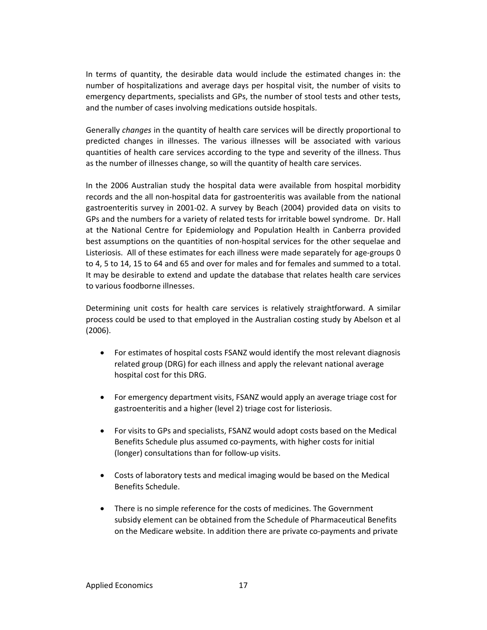In terms of quantity, the desirable data would include the estimated changes in: the number of hospitalizations and average days per hospital visit, the number of visits to emergency departments, specialists and GPs, the number of stool tests and other tests, and the number of cases involving medications outside hospitals.

Generally *changes* in the quantity of health care services will be directly proportional to predicted changes in illnesses. The various illnesses will be associated with various quantities of health care services according to the type and severity of the illness. Thus as the number of illnesses change, so will the quantity of health care services.

In the 2006 Australian study the hospital data were available from hospital morbidity records and the all non‐hospital data for gastroenteritis was available from the national gastroenteritis survey in 2001‐02. A survey by Beach (2004) provided data on visits to GPs and the numbers for a variety of related tests for irritable bowel syndrome. Dr. Hall at the National Centre for Epidemiology and Population Health in Canberra provided best assumptions on the quantities of non‐hospital services for the other sequelae and Listeriosis. All of these estimates for each illness were made separately for age‐groups 0 to 4, 5 to 14, 15 to 64 and 65 and over for males and for females and summed to a total. It may be desirable to extend and update the database that relates health care services to various foodborne illnesses.

Determining unit costs for health care services is relatively straightforward. A similar process could be used to that employed in the Australian costing study by Abelson et al (2006).

- For estimates of hospital costs FSANZ would identify the most relevant diagnosis related group (DRG) for each illness and apply the relevant national average hospital cost for this DRG.
- For emergency department visits, FSANZ would apply an average triage cost for gastroenteritis and a higher (level 2) triage cost for listeriosis.
- For visits to GPs and specialists, FSANZ would adopt costs based on the Medical Benefits Schedule plus assumed co-payments, with higher costs for initial (longer) consultations than for follow‐up visits.
- Costs of laboratory tests and medical imaging would be based on the Medical Benefits Schedule.
- There is no simple reference for the costs of medicines. The Government subsidy element can be obtained from the Schedule of Pharmaceutical Benefits on the Medicare website. In addition there are private co‐payments and private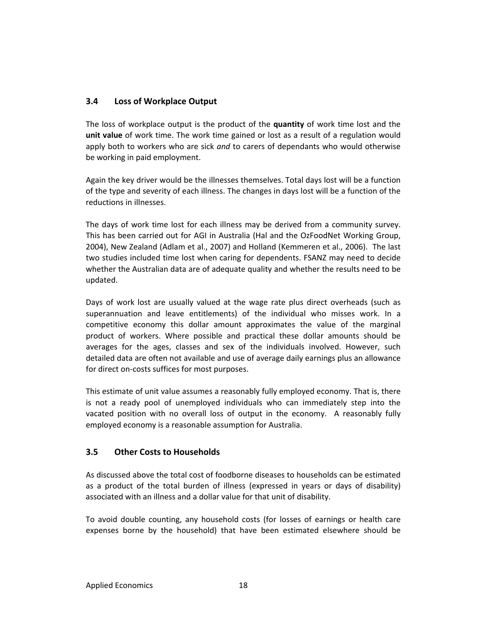## **3.4 Loss of Workplace Output**

The loss of workplace output is the product of the **quantity** of work time lost and the **unit value** of work time. The work time gained or lost as a result of a regulation would apply both to workers who are sick *and* to carers of dependants who would otherwise be working in paid employment.

Again the key driver would be the illnesses themselves. Total days lost will be a function of the type and severity of each illness. The changes in days lost will be a function of the reductions in illnesses.

The days of work time lost for each illness may be derived from a community survey. This has been carried out for AGI in Australia (Hal and the OzFoodNet Working Group, 2004), New Zealand (Adlam et al., 2007) and Holland (Kemmeren et al., 2006). The last two studies included time lost when caring for dependents. FSANZ may need to decide whether the Australian data are of adequate quality and whether the results need to be updated.

Days of work lost are usually valued at the wage rate plus direct overheads (such as superannuation and leave entitlements) of the individual who misses work. In a competitive economy this dollar amount approximates the value of the marginal product of workers. Where possible and practical these dollar amounts should be averages for the ages, classes and sex of the individuals involved. However, such detailed data are often not available and use of average daily earnings plus an allowance for direct on‐costs suffices for most purposes.

This estimate of unit value assumes a reasonably fully employed economy. That is, there is not a ready pool of unemployed individuals who can immediately step into the vacated position with no overall loss of output in the economy. A reasonably fully employed economy is a reasonable assumption for Australia.

## **3.5 Other Costs to Households**

As discussed above the total cost of foodborne diseases to households can be estimated as a product of the total burden of illness (expressed in years or days of disability) associated with an illness and a dollar value for that unit of disability.

To avoid double counting, any household costs (for losses of earnings or health care expenses borne by the household) that have been estimated elsewhere should be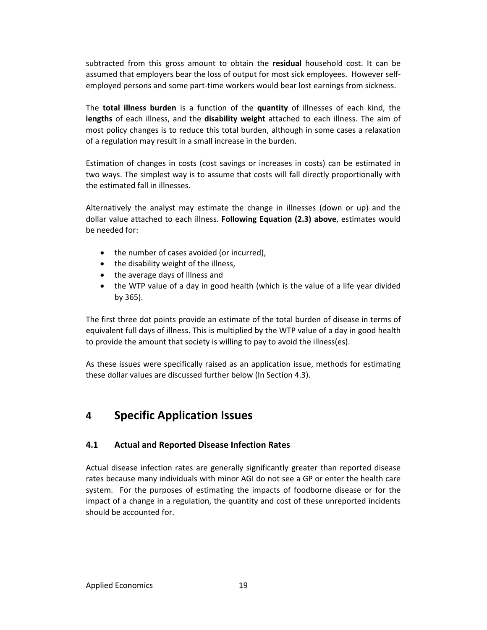subtracted from this gross amount to obtain the **residual** household cost. It can be assumed that employers bear the loss of output for most sick employees. However self‐ employed persons and some part‐time workers would bear lost earnings from sickness.

The **total illness burden** is a function of the **quantity** of illnesses of each kind, the **lengths** of each illness, and the **disability weight** attached to each illness. The aim of most policy changes is to reduce this total burden, although in some cases a relaxation of a regulation may result in a small increase in the burden.

Estimation of changes in costs (cost savings or increases in costs) can be estimated in two ways. The simplest way is to assume that costs will fall directly proportionally with the estimated fall in illnesses.

Alternatively the analyst may estimate the change in illnesses (down or up) and the dollar value attached to each illness. **Following Equation (2.3) above**, estimates would be needed for:

- the number of cases avoided (or incurred),
- the disability weight of the illness,
- the average days of illness and
- the WTP value of a day in good health (which is the value of a life year divided by 365).

The first three dot points provide an estimate of the total burden of disease in terms of equivalent full days of illness. This is multiplied by the WTP value of a day in good health to provide the amount that society is willing to pay to avoid the illness(es).

As these issues were specifically raised as an application issue, methods for estimating these dollar values are discussed further below (In Section 4.3).

## **4 Specific Application Issues**

#### **4.1 Actual and Reported Disease Infection Rates**

Actual disease infection rates are generally significantly greater than reported disease rates because many individuals with minor AGI do not see a GP or enter the health care system. For the purposes of estimating the impacts of foodborne disease or for the impact of a change in a regulation, the quantity and cost of these unreported incidents should be accounted for.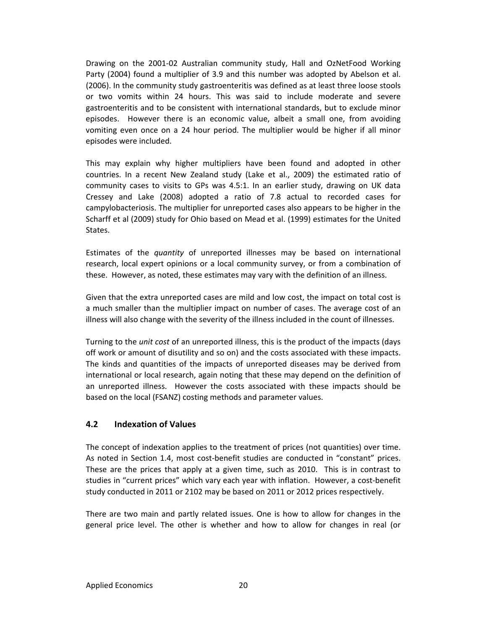Drawing on the 2001-02 Australian community study, Hall and OzNetFood Working Party (2004) found a multiplier of 3.9 and this number was adopted by Abelson et al. (2006). In the community study gastroenteritis was defined as at least three loose stools or two vomits within 24 hours. This was said to include moderate and severe gastroenteritis and to be consistent with international standards, but to exclude minor episodes. However there is an economic value, albeit a small one, from avoiding vomiting even once on a 24 hour period. The multiplier would be higher if all minor episodes were included.

This may explain why higher multipliers have been found and adopted in other countries. In a recent New Zealand study (Lake et al., 2009) the estimated ratio of community cases to visits to GPs was 4.5:1. In an earlier study, drawing on UK data Cressey and Lake (2008) adopted a ratio of 7.8 actual to recorded cases for campylobacteriosis. The multiplier for unreported cases also appears to be higher in the Scharff et al (2009) study for Ohio based on Mead et al. (1999) estimates for the United States.

Estimates of the *quantity* of unreported illnesses may be based on international research, local expert opinions or a local community survey, or from a combination of these. However, as noted, these estimates may vary with the definition of an illness.

Given that the extra unreported cases are mild and low cost, the impact on total cost is a much smaller than the multiplier impact on number of cases. The average cost of an illness will also change with the severity of the illness included in the count of illnesses.

Turning to the *unit cost* of an unreported illness, this is the product of the impacts (days off work or amount of disutility and so on) and the costs associated with these impacts. The kinds and quantities of the impacts of unreported diseases may be derived from international or local research, again noting that these may depend on the definition of an unreported illness. However the costs associated with these impacts should be based on the local (FSANZ) costing methods and parameter values.

## **4.2 Indexation of Values**

The concept of indexation applies to the treatment of prices (not quantities) over time. As noted in Section 1.4, most cost-benefit studies are conducted in "constant" prices. These are the prices that apply at a given time, such as 2010. This is in contrast to studies in "current prices" which vary each year with inflation. However, a cost‐benefit study conducted in 2011 or 2102 may be based on 2011 or 2012 prices respectively.

There are two main and partly related issues. One is how to allow for changes in the general price level. The other is whether and how to allow for changes in real (or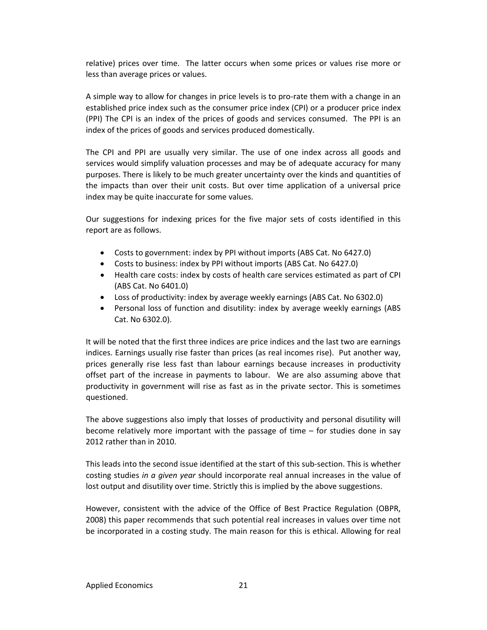relative) prices over time. The latter occurs when some prices or values rise more or less than average prices or values.

A simple way to allow for changes in price levels is to pro-rate them with a change in an established price index such as the consumer price index (CPI) or a producer price index (PPI) The CPI is an index of the prices of goods and services consumed. The PPI is an index of the prices of goods and services produced domestically.

The CPI and PPI are usually very similar. The use of one index across all goods and services would simplify valuation processes and may be of adequate accuracy for many purposes. There is likely to be much greater uncertainty over the kinds and quantities of the impacts than over their unit costs. But over time application of a universal price index may be quite inaccurate for some values.

Our suggestions for indexing prices for the five major sets of costs identified in this report are as follows.

- Costs to government: index by PPI without imports (ABS Cat. No 6427.0)
- Costs to business: index by PPI without imports (ABS Cat. No 6427.0)
- Health care costs: index by costs of health care services estimated as part of CPI (ABS Cat. No 6401.0)
- Loss of productivity: index by average weekly earnings (ABS Cat. No 6302.0)
- Personal loss of function and disutility: index by average weekly earnings (ABS Cat. No 6302.0).

It will be noted that the first three indices are price indices and the last two are earnings indices. Earnings usually rise faster than prices (as real incomes rise). Put another way, prices generally rise less fast than labour earnings because increases in productivity offset part of the increase in payments to labour. We are also assuming above that productivity in government will rise as fast as in the private sector. This is sometimes questioned.

The above suggestions also imply that losses of productivity and personal disutility will become relatively more important with the passage of time – for studies done in say 2012 rather than in 2010.

This leads into the second issue identified at the start of this sub-section. This is whether costing studies *in a given year* should incorporate real annual increases in the value of lost output and disutility over time. Strictly this is implied by the above suggestions.

However, consistent with the advice of the Office of Best Practice Regulation (OBPR, 2008) this paper recommends that such potential real increases in values over time not be incorporated in a costing study. The main reason for this is ethical. Allowing for real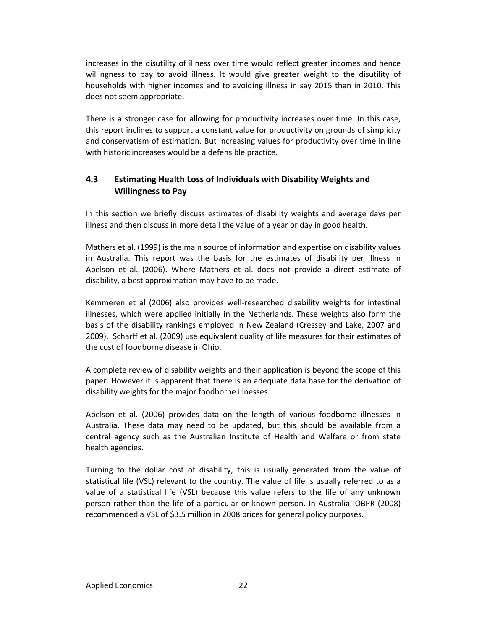increases in the disutility of illness over time would reflect greater incomes and hence willingness to pay to avoid illness. It would give greater weight to the disutility of households with higher incomes and to avoiding illness in say 2015 than in 2010. This does not seem appropriate.

There is a stronger case for allowing for productivity increases over time. In this case, this report inclines to support a constant value for productivity on grounds of simplicity and conservatism of estimation. But increasing values for productivity over time in line with historic increases would be a defensible practice.

## **4.3 Estimating Health Loss of Individuals with Disability Weights and Willingness to Pay**

In this section we briefly discuss estimates of disability weights and average days per illness and then discuss in more detail the value of a year or day in good health.

Mathers et al. (1999) is the main source of information and expertise on disability values in Australia. This report was the basis for the estimates of disability per illness in Abelson et al. (2006). Where Mathers et al. does not provide a direct estimate of disability, a best approximation may have to be made.

Kemmeren et al (2006) also provides well‐researched disability weights for intestinal illnesses, which were applied initially in the Netherlands. These weights also form the basis of the disability rankings employed in New Zealand (Cressey and Lake, 2007 and 2009). Scharff et al. (2009) use equivalent quality of life measures for their estimates of the cost of foodborne disease in Ohio.

A complete review of disability weights and their application is beyond the scope of this paper. However it is apparent that there is an adequate data base for the derivation of disability weights for the major foodborne illnesses.

Abelson et al. (2006) provides data on the length of various foodborne illnesses in Australia. These data may need to be updated, but this should be available from a central agency such as the Australian Institute of Health and Welfare or from state health agencies.

Turning to the dollar cost of disability, this is usually generated from the value of statistical life (VSL) relevant to the country. The value of life is usually referred to as a value of a statistical life (VSL) because this value refers to the life of any unknown person rather than the life of a particular or known person. In Australia, OBPR (2008) recommended a VSL of \$3.5 million in 2008 prices for general policy purposes.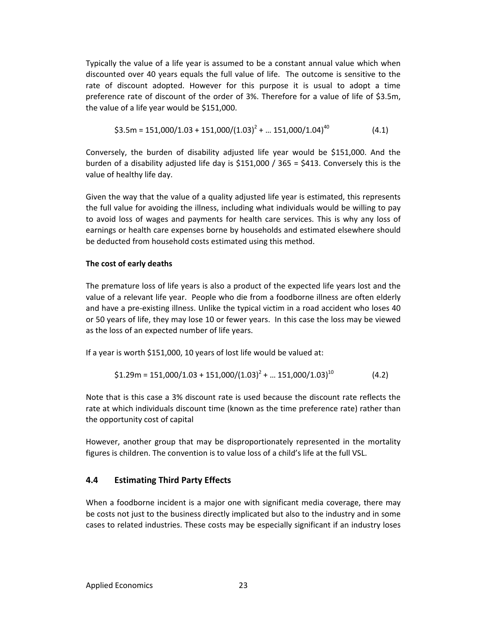Typically the value of a life year is assumed to be a constant annual value which when discounted over 40 years equals the full value of life. The outcome is sensitive to the rate of discount adopted. However for this purpose it is usual to adopt a time preference rate of discount of the order of 3%. Therefore for a value of life of \$3.5m, the value of a life year would be \$151,000.

$$
$3.5\text{m} = 151,000/1.03 + 151,000/(1.03)^2 + \dots 151,000/1.04)^{40} \tag{4.1}
$$

Conversely, the burden of disability adjusted life year would be \$151,000. And the burden of a disability adjusted life day is \$151,000 / 365 = \$413. Conversely this is the value of healthy life day.

Given the way that the value of a quality adjusted life year is estimated, this represents the full value for avoiding the illness, including what individuals would be willing to pay to avoid loss of wages and payments for health care services. This is why any loss of earnings or health care expenses borne by households and estimated elsewhere should be deducted from household costs estimated using this method.

#### **The cost of early deaths**

The premature loss of life years is also a product of the expected life years lost and the value of a relevant life year. People who die from a foodborne illness are often elderly and have a pre‐existing illness. Unlike the typical victim in a road accident who loses 40 or 50 years of life, they may lose 10 or fewer years. In this case the loss may be viewed as the loss of an expected number of life years.

If a year is worth \$151,000, 10 years of lost life would be valued at:

$$
$1.29\text{m} = $151,000/1.03 + $151,000/(1.03)^2 + \dots $151,000/1.03$}^{10}
$$
 (4.2)

Note that is this case a 3% discount rate is used because the discount rate reflects the rate at which individuals discount time (known as the time preference rate) rather than the opportunity cost of capital

However, another group that may be disproportionately represented in the mortality figures is children. The convention is to value loss of a child's life at the full VSL.

#### **4.4 Estimating Third Party Effects**

When a foodborne incident is a major one with significant media coverage, there may be costs not just to the business directly implicated but also to the industry and in some cases to related industries. These costs may be especially significant if an industry loses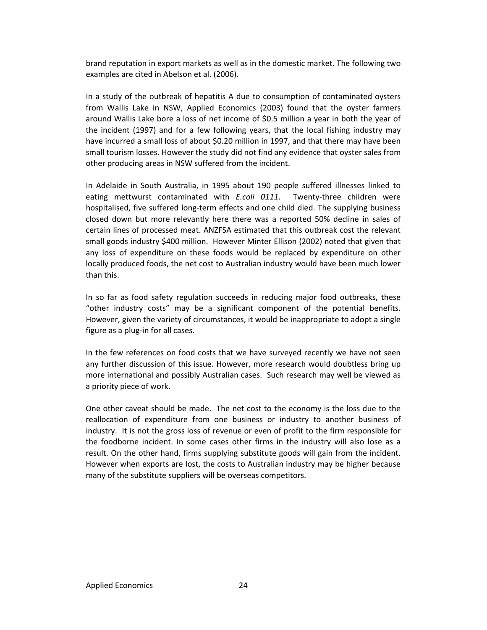brand reputation in export markets as well as in the domestic market. The following two examples are cited in Abelson et al. (2006).

In a study of the outbreak of hepatitis A due to consumption of contaminated oysters from Wallis Lake in NSW, Applied Economics (2003) found that the oyster farmers around Wallis Lake bore a loss of net income of \$0.5 million a year in both the year of the incident (1997) and for a few following years, that the local fishing industry may have incurred a small loss of about \$0.20 million in 1997, and that there may have been small tourism losses. However the study did not find any evidence that oyster sales from other producing areas in NSW suffered from the incident.

In Adelaide in South Australia, in 1995 about 190 people suffered illnesses linked to eating mettwurst contaminated with *E.coli 0111*. Twenty-three children were hospitalised, five suffered long‐term effects and one child died. The supplying business closed down but more relevantly here there was a reported 50% decline in sales of certain lines of processed meat. ANZFSA estimated that this outbreak cost the relevant small goods industry \$400 million. However Minter Ellison (2002) noted that given that any loss of expenditure on these foods would be replaced by expenditure on other locally produced foods, the net cost to Australian industry would have been much lower than this.

In so far as food safety regulation succeeds in reducing major food outbreaks, these "other industry costs" may be a significant component of the potential benefits. However, given the variety of circumstances, it would be inappropriate to adopt a single figure as a plug‐in for all cases.

In the few references on food costs that we have surveyed recently we have not seen any further discussion of this issue. However, more research would doubtless bring up more international and possibly Australian cases. Such research may well be viewed as a priority piece of work.

One other caveat should be made. The net cost to the economy is the loss due to the reallocation of expenditure from one business or industry to another business of industry. It is not the gross loss of revenue or even of profit to the firm responsible for the foodborne incident. In some cases other firms in the industry will also lose as a result. On the other hand, firms supplying substitute goods will gain from the incident. However when exports are lost, the costs to Australian industry may be higher because many of the substitute suppliers will be overseas competitors.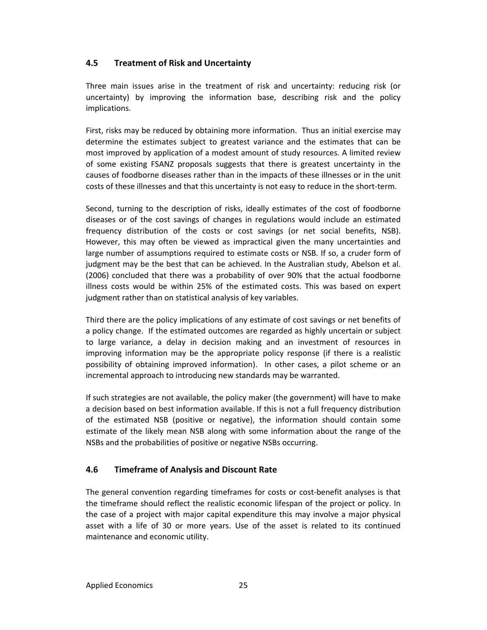## **4.5 Treatment of Risk and Uncertainty**

Three main issues arise in the treatment of risk and uncertainty: reducing risk (or uncertainty) by improving the information base, describing risk and the policy implications.

First, risks may be reduced by obtaining more information. Thus an initial exercise may determine the estimates subject to greatest variance and the estimates that can be most improved by application of a modest amount of study resources. A limited review of some existing FSANZ proposals suggests that there is greatest uncertainty in the causes of foodborne diseases rather than in the impacts of these illnesses or in the unit costs of these illnesses and that this uncertainty is not easy to reduce in the short‐term.

Second, turning to the description of risks, ideally estimates of the cost of foodborne diseases or of the cost savings of changes in regulations would include an estimated frequency distribution of the costs or cost savings (or net social benefits, NSB). However, this may often be viewed as impractical given the many uncertainties and large number of assumptions required to estimate costs or NSB. If so, a cruder form of judgment may be the best that can be achieved. In the Australian study, Abelson et al. (2006) concluded that there was a probability of over 90% that the actual foodborne illness costs would be within 25% of the estimated costs. This was based on expert judgment rather than on statistical analysis of key variables.

Third there are the policy implications of any estimate of cost savings or net benefits of a policy change. If the estimated outcomes are regarded as highly uncertain or subject to large variance, a delay in decision making and an investment of resources in improving information may be the appropriate policy response (if there is a realistic possibility of obtaining improved information). In other cases, a pilot scheme or an incremental approach to introducing new standards may be warranted.

If such strategies are not available, the policy maker (the government) will have to make a decision based on best information available. If this is not a full frequency distribution of the estimated NSB (positive or negative), the information should contain some estimate of the likely mean NSB along with some information about the range of the NSBs and the probabilities of positive or negative NSBs occurring.

## **4.6 Timeframe of Analysis and Discount Rate**

The general convention regarding timeframes for costs or cost-benefit analyses is that the timeframe should reflect the realistic economic lifespan of the project or policy. In the case of a project with major capital expenditure this may involve a major physical asset with a life of 30 or more years. Use of the asset is related to its continued maintenance and economic utility.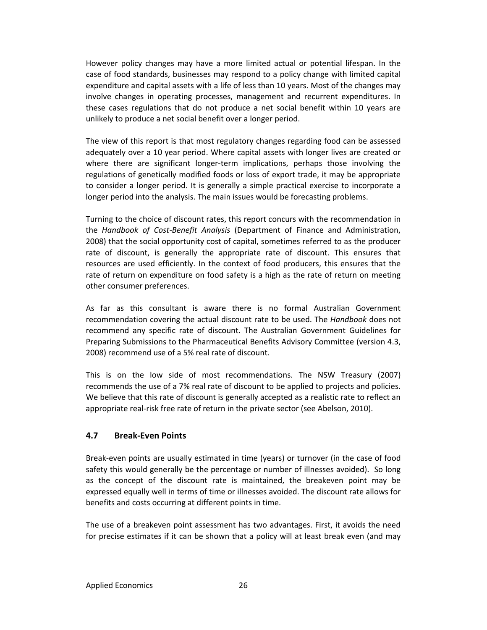However policy changes may have a more limited actual or potential lifespan. In the case of food standards, businesses may respond to a policy change with limited capital expenditure and capital assets with a life of less than 10 years. Most of the changes may involve changes in operating processes, management and recurrent expenditures. In these cases regulations that do not produce a net social benefit within 10 years are unlikely to produce a net social benefit over a longer period.

The view of this report is that most regulatory changes regarding food can be assessed adequately over a 10 year period. Where capital assets with longer lives are created or where there are significant longer-term implications, perhaps those involving the regulations of genetically modified foods or loss of export trade, it may be appropriate to consider a longer period. It is generally a simple practical exercise to incorporate a longer period into the analysis. The main issues would be forecasting problems.

Turning to the choice of discount rates, this report concurs with the recommendation in the *Handbook of Cost‐Benefit Analysis* (Department of Finance and Administration, 2008) that the social opportunity cost of capital, sometimes referred to as the producer rate of discount, is generally the appropriate rate of discount. This ensures that resources are used efficiently. In the context of food producers, this ensures that the rate of return on expenditure on food safety is a high as the rate of return on meeting other consumer preferences.

As far as this consultant is aware there is no formal Australian Government recommendation covering the actual discount rate to be used. The *Handbook* does not recommend any specific rate of discount. The Australian Government Guidelines for Preparing Submissions to the Pharmaceutical Benefits Advisory Committee (version 4.3, 2008) recommend use of a 5% real rate of discount.

This is on the low side of most recommendations. The NSW Treasury (2007) recommends the use of a 7% real rate of discount to be applied to projects and policies. We believe that this rate of discount is generally accepted as a realistic rate to reflect an appropriate real‐risk free rate of return in the private sector (see Abelson, 2010).

## **4.7 Break‐Even Points**

Break‐even points are usually estimated in time (years) or turnover (in the case of food safety this would generally be the percentage or number of illnesses avoided). So long as the concept of the discount rate is maintained, the breakeven point may be expressed equally well in terms of time or illnesses avoided. The discount rate allows for benefits and costs occurring at different points in time.

The use of a breakeven point assessment has two advantages. First, it avoids the need for precise estimates if it can be shown that a policy will at least break even (and may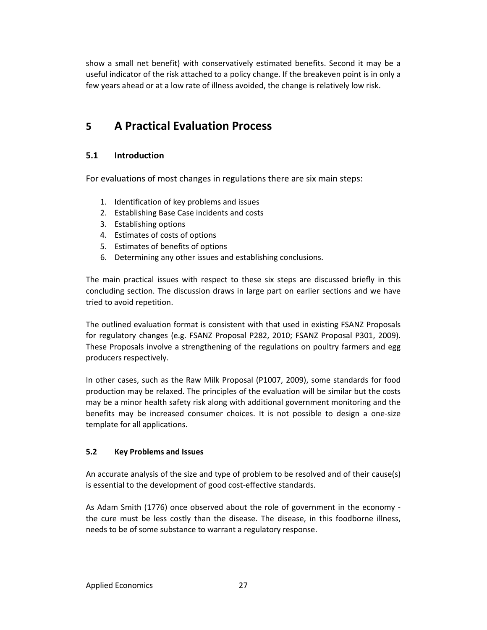show a small net benefit) with conservatively estimated benefits. Second it may be a useful indicator of the risk attached to a policy change. If the breakeven point is in only a few years ahead or at a low rate of illness avoided, the change is relatively low risk.

## **5 A Practical Evaluation Process**

## **5.1 Introduction**

For evaluations of most changes in regulations there are six main steps:

- 1. Identification of key problems and issues
- 2. Establishing Base Case incidents and costs
- 3. Establishing options
- 4. Estimates of costs of options
- 5. Estimates of benefits of options
- 6. Determining any other issues and establishing conclusions.

The main practical issues with respect to these six steps are discussed briefly in this concluding section. The discussion draws in large part on earlier sections and we have tried to avoid repetition.

The outlined evaluation format is consistent with that used in existing FSANZ Proposals for regulatory changes (e.g. FSANZ Proposal P282, 2010; FSANZ Proposal P301, 2009). These Proposals involve a strengthening of the regulations on poultry farmers and egg producers respectively.

In other cases, such as the Raw Milk Proposal (P1007, 2009), some standards for food production may be relaxed. The principles of the evaluation will be similar but the costs may be a minor health safety risk along with additional government monitoring and the benefits may be increased consumer choices. It is not possible to design a one‐size template for all applications.

#### **5.2 Key Problems and Issues**

An accurate analysis of the size and type of problem to be resolved and of their cause(s) is essential to the development of good cost-effective standards.

As Adam Smith (1776) once observed about the role of government in the economy ‐ the cure must be less costly than the disease. The disease, in this foodborne illness, needs to be of some substance to warrant a regulatory response.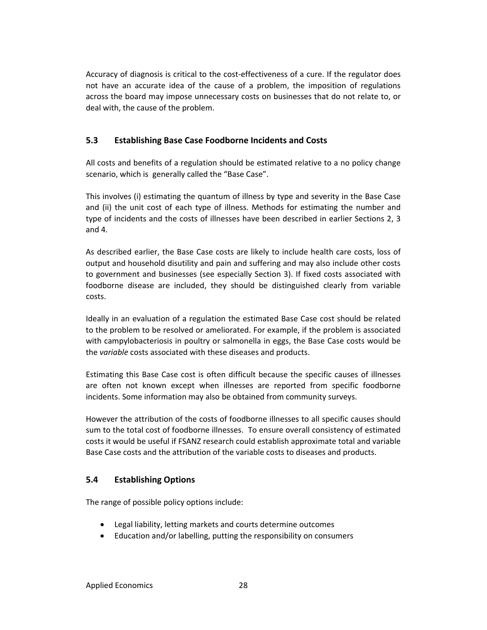Accuracy of diagnosis is critical to the cost-effectiveness of a cure. If the regulator does not have an accurate idea of the cause of a problem, the imposition of regulations across the board may impose unnecessary costs on businesses that do not relate to, or deal with, the cause of the problem.

## **5.3 Establishing Base Case Foodborne Incidents and Costs**

All costs and benefits of a regulation should be estimated relative to a no policy change scenario, which is generally called the "Base Case".

This involves (i) estimating the quantum of illness by type and severity in the Base Case and (ii) the unit cost of each type of illness. Methods for estimating the number and type of incidents and the costs of illnesses have been described in earlier Sections 2, 3 and 4.

As described earlier, the Base Case costs are likely to include health care costs, loss of output and household disutility and pain and suffering and may also include other costs to government and businesses (see especially Section 3). If fixed costs associated with foodborne disease are included, they should be distinguished clearly from variable costs.

Ideally in an evaluation of a regulation the estimated Base Case cost should be related to the problem to be resolved or ameliorated. For example, if the problem is associated with campylobacteriosis in poultry or salmonella in eggs, the Base Case costs would be the *variable* costs associated with these diseases and products.

Estimating this Base Case cost is often difficult because the specific causes of illnesses are often not known except when illnesses are reported from specific foodborne incidents. Some information may also be obtained from community surveys.

However the attribution of the costs of foodborne illnesses to all specific causes should sum to the total cost of foodborne illnesses. To ensure overall consistency of estimated costs it would be useful if FSANZ research could establish approximate total and variable Base Case costs and the attribution of the variable costs to diseases and products.

## **5.4 Establishing Options**

The range of possible policy options include:

- Legal liability, letting markets and courts determine outcomes
- Education and/or labelling, putting the responsibility on consumers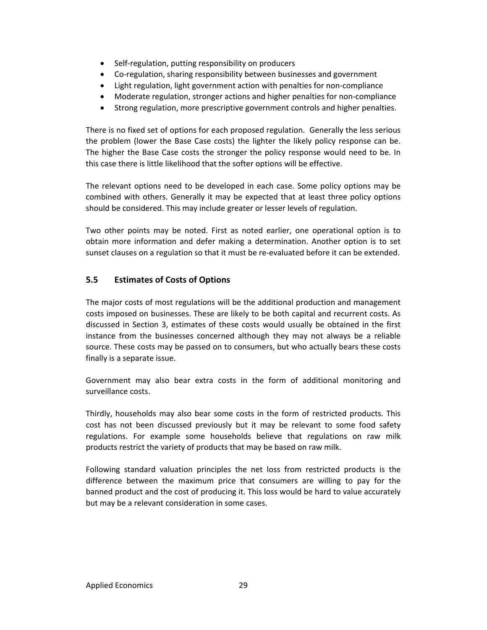- Self-regulation, putting responsibility on producers
- Co-regulation, sharing responsibility between businesses and government
- Light regulation, light government action with penalties for non‐compliance
- Moderate regulation, stronger actions and higher penalties for non-compliance
- Strong regulation, more prescriptive government controls and higher penalties.

There is no fixed set of options for each proposed regulation. Generally the less serious the problem (lower the Base Case costs) the lighter the likely policy response can be. The higher the Base Case costs the stronger the policy response would need to be. In this case there is little likelihood that the softer options will be effective.

The relevant options need to be developed in each case. Some policy options may be combined with others. Generally it may be expected that at least three policy options should be considered. This may include greater or lesser levels of regulation.

Two other points may be noted. First as noted earlier, one operational option is to obtain more information and defer making a determination. Another option is to set sunset clauses on a regulation so that it must be re‐evaluated before it can be extended.

## **5.5 Estimates of Costs of Options**

The major costs of most regulations will be the additional production and management costs imposed on businesses. These are likely to be both capital and recurrent costs. As discussed in Section 3, estimates of these costs would usually be obtained in the first instance from the businesses concerned although they may not always be a reliable source. These costs may be passed on to consumers, but who actually bears these costs finally is a separate issue.

Government may also bear extra costs in the form of additional monitoring and surveillance costs.

Thirdly, households may also bear some costs in the form of restricted products. This cost has not been discussed previously but it may be relevant to some food safety regulations. For example some households believe that regulations on raw milk products restrict the variety of products that may be based on raw milk.

Following standard valuation principles the net loss from restricted products is the difference between the maximum price that consumers are willing to pay for the banned product and the cost of producing it. This loss would be hard to value accurately but may be a relevant consideration in some cases.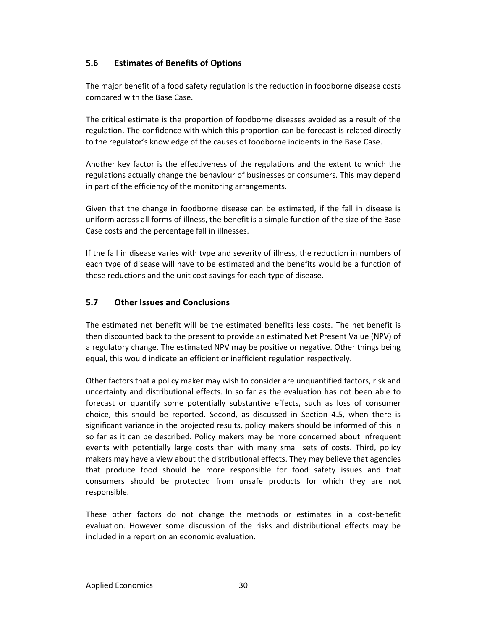## **5.6 Estimates of Benefits of Options**

The major benefit of a food safety regulation is the reduction in foodborne disease costs compared with the Base Case.

The critical estimate is the proportion of foodborne diseases avoided as a result of the regulation. The confidence with which this proportion can be forecast is related directly to the regulator's knowledge of the causes of foodborne incidents in the Base Case.

Another key factor is the effectiveness of the regulations and the extent to which the regulations actually change the behaviour of businesses or consumers. This may depend in part of the efficiency of the monitoring arrangements.

Given that the change in foodborne disease can be estimated, if the fall in disease is uniform across all forms of illness, the benefit is a simple function of the size of the Base Case costs and the percentage fall in illnesses.

If the fall in disease varies with type and severity of illness, the reduction in numbers of each type of disease will have to be estimated and the benefits would be a function of these reductions and the unit cost savings for each type of disease.

## **5.7 Other Issues and Conclusions**

The estimated net benefit will be the estimated benefits less costs. The net benefit is then discounted back to the present to provide an estimated Net Present Value (NPV) of a regulatory change. The estimated NPV may be positive or negative. Other things being equal, this would indicate an efficient or inefficient regulation respectively.

Other factors that a policy maker may wish to consider are unquantified factors, risk and uncertainty and distributional effects. In so far as the evaluation has not been able to forecast or quantify some potentially substantive effects, such as loss of consumer choice, this should be reported. Second, as discussed in Section 4.5, when there is significant variance in the projected results, policy makers should be informed of this in so far as it can be described. Policy makers may be more concerned about infrequent events with potentially large costs than with many small sets of costs. Third, policy makers may have a view about the distributional effects. They may believe that agencies that produce food should be more responsible for food safety issues and that consumers should be protected from unsafe products for which they are not responsible.

These other factors do not change the methods or estimates in a cost‐benefit evaluation. However some discussion of the risks and distributional effects may be included in a report on an economic evaluation.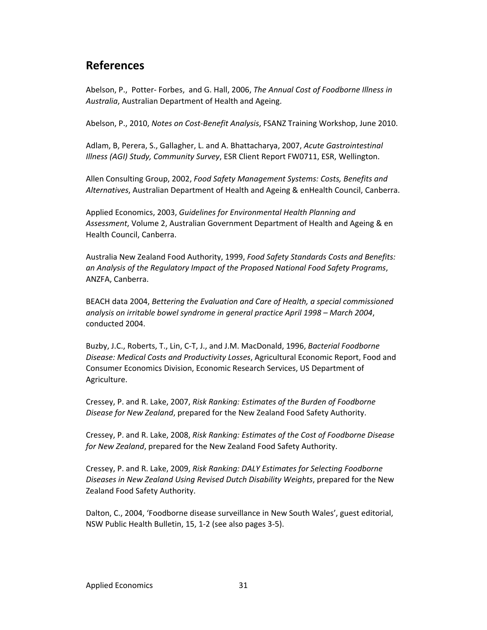## **References**

Abelson, P., Potter‐ Forbes, and G. Hall, 2006, *The Annual Cost of Foodborne Illness in Australia*, Australian Department of Health and Ageing.

Abelson, P., 2010, *Notes on Cost‐Benefit Analysis*, FSANZ Training Workshop, June 2010.

Adlam, B, Perera, S., Gallagher, L. and A. Bhattacharya, 2007, *Acute Gastrointestinal Illness (AGI) Study, Community Survey*, ESR Client Report FW0711, ESR, Wellington.

Allen Consulting Group, 2002, *Food Safety Management Systems: Costs, Benefits and Alternatives*, Australian Department of Health and Ageing & enHealth Council, Canberra.

Applied Economics, 2003, *Guidelines for Environmental Health Planning and Assessment*, Volume 2, Australian Government Department of Health and Ageing & en Health Council, Canberra.

Australia New Zealand Food Authority, 1999, *Food Safety Standards Costs and Benefits: an Analysis of the Regulatory Impact of the Proposed National Food Safety Programs*, ANZFA, Canberra.

BEACH data 2004, *Bettering the Evaluation and Care of Health, a special commissioned analysis on irritable bowel syndrome in general practice April 1998 – March 2004*, conducted 2004.

Buzby, J.C., Roberts, T., Lin, C‐T, J., and J.M. MacDonald, 1996, *Bacterial Foodborne Disease: Medical Costs and Productivity Losses*, Agricultural Economic Report, Food and Consumer Economics Division, Economic Research Services, US Department of Agriculture.

Cressey, P. and R. Lake, 2007, *Risk Ranking: Estimates of the Burden of Foodborne Disease for New Zealand*, prepared for the New Zealand Food Safety Authority.

Cressey, P. and R. Lake, 2008, *Risk Ranking: Estimates of the Cost of Foodborne Disease for New Zealand*, prepared for the New Zealand Food Safety Authority.

Cressey, P. and R. Lake, 2009, *Risk Ranking: DALY Estimates for Selecting Foodborne Diseases in New Zealand Using Revised Dutch Disability Weights*, prepared for the New Zealand Food Safety Authority.

Dalton, C., 2004, 'Foodborne disease surveillance in New South Wales', guest editorial, NSW Public Health Bulletin, 15, 1‐2 (see also pages 3‐5).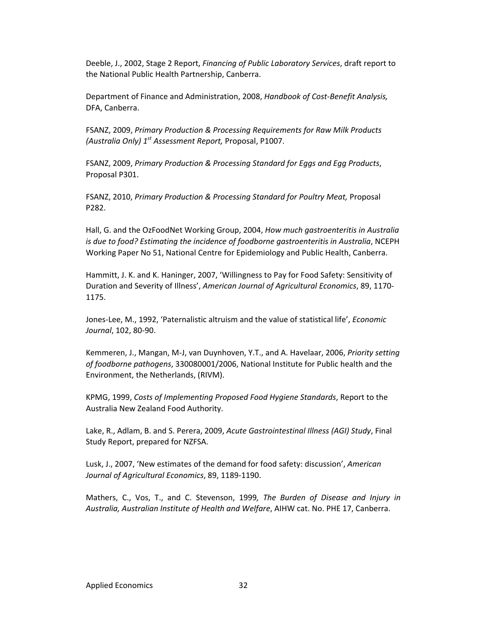Deeble, J., 2002, Stage 2 Report, *Financing of Public Laboratory Services*, draft report to the National Public Health Partnership, Canberra.

Department of Finance and Administration, 2008, *Handbook of Cost‐Benefit Analysis,* DFA, Canberra.

FSANZ, 2009, *Primary Production & Processing Requirements for Raw Milk Products (Australia Only) 1st Assessment Report,* Proposal, P1007.

FSANZ, 2009, *Primary Production & Processing Standard for Eggs and Egg Products*, Proposal P301.

FSANZ, 2010, *Primary Production & Processing Standard for Poultry Meat,* Proposal P282.

Hall, G. and the OzFoodNet Working Group, 2004, *How much gastroenteritis in Australia is due to food? Estimating the incidence of foodborne gastroenteritis in Australia*, NCEPH Working Paper No 51, National Centre for Epidemiology and Public Health, Canberra.

Hammitt, J. K. and K. Haninger, 2007, 'Willingness to Pay for Food Safety: Sensitivity of Duration and Severity of Illness', *American Journal of Agricultural Economics*, 89, 1170‐ 1175.

Jones‐Lee, M., 1992, 'Paternalistic altruism and the value of statistical life', *Economic Journal*, 102, 80‐90.

Kemmeren, J., Mangan, M‐J, van Duynhoven, Y.T., and A. Havelaar, 2006, *Priority setting of foodborne pathogens*, 330080001/2006, National Institute for Public health and the Environment, the Netherlands, (RIVM).

KPMG, 1999, *Costs of Implementing Proposed Food Hygiene Standards*, Report to the Australia New Zealand Food Authority.

Lake, R., Adlam, B. and S. Perera, 2009, *Acute Gastrointestinal Illness (AGI) Study*, Final Study Report, prepared for NZFSA.

Lusk, J., 2007, 'New estimates of the demand for food safety: discussion', *American Journal of Agricultural Economics*, 89, 1189‐1190.

Mathers, C., Vos, T., and C. Stevenson, 1999*, The Burden of Disease and Injury in Australia, Australian Institute of Health and Welfare*, AIHW cat. No. PHE 17, Canberra.